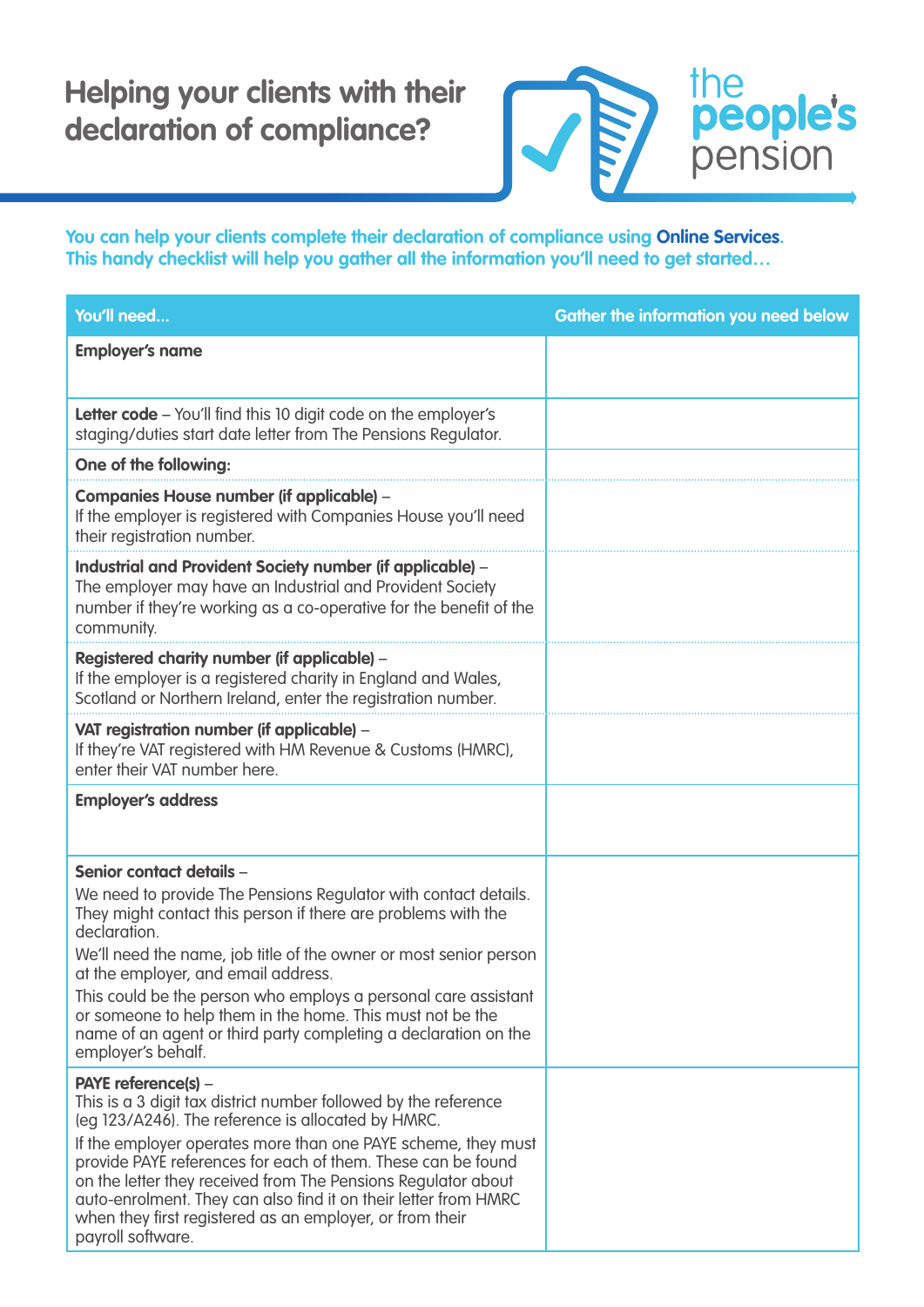## **Helping your clients with their declaration of compliance?**



**You can help your clients complete their declaration of compliance using Online Services. This handy checklist will help you gather all the information you'll need to get started…**

| You'll need                                                                                                                                                                                                                                                                                                                                                                                                                                                                                        | <b>Gather the information you need below</b> |
|----------------------------------------------------------------------------------------------------------------------------------------------------------------------------------------------------------------------------------------------------------------------------------------------------------------------------------------------------------------------------------------------------------------------------------------------------------------------------------------------------|----------------------------------------------|
| <b>Employer's name</b>                                                                                                                                                                                                                                                                                                                                                                                                                                                                             |                                              |
| Letter code - You'll find this 10 digit code on the employer's<br>staging/duties start date letter from The Pensions Regulator.                                                                                                                                                                                                                                                                                                                                                                    |                                              |
| One of the following:                                                                                                                                                                                                                                                                                                                                                                                                                                                                              |                                              |
| <b>Companies House number (if applicable) -</b><br>If the employer is registered with Companies House you'll need<br>their registration number.                                                                                                                                                                                                                                                                                                                                                    |                                              |
| Industrial and Provident Society number (if applicable) -<br>The employer may have an Industrial and Provident Society<br>number if they're working as a co-operative for the benefit of the<br>community.                                                                                                                                                                                                                                                                                         |                                              |
| Registered charity number (if applicable) -<br>If the employer is a registered charity in England and Wales,<br>Scotland or Northern Ireland, enter the registration number.                                                                                                                                                                                                                                                                                                                       |                                              |
| VAT registration number (if applicable) -<br>If they're VAT registered with HM Revenue & Customs (HMRC),<br>enter their VAT number here.                                                                                                                                                                                                                                                                                                                                                           |                                              |
| <b>Employer's address</b>                                                                                                                                                                                                                                                                                                                                                                                                                                                                          |                                              |
| Senior contact details -                                                                                                                                                                                                                                                                                                                                                                                                                                                                           |                                              |
| We need to provide The Pensions Regulator with contact details.<br>They might contact this person if there are problems with the<br>declaration.                                                                                                                                                                                                                                                                                                                                                   |                                              |
| We'll need the name, job title of the owner or most senior person<br>at the employer, and email address.                                                                                                                                                                                                                                                                                                                                                                                           |                                              |
| This could be the person who employs a personal care assistant<br>or someone to help them in the home. This must not be the<br>name of an agent or third party completing a declaration on the<br>employer's behalf.                                                                                                                                                                                                                                                                               |                                              |
| PAYE reference(s) -<br>This is a 3 digit tax district number followed by the reference<br>(eg 123/A246). The reference is allocated by HMRC.<br>If the employer operates more than one PAYE scheme, they must<br>provide PAYE references for each of them. These can be found<br>on the letter they received from The Pensions Regulator about<br>auto-enrolment. They can also find it on their letter from HMRC<br>when they first registered as an employer, or from their<br>payroll software. |                                              |